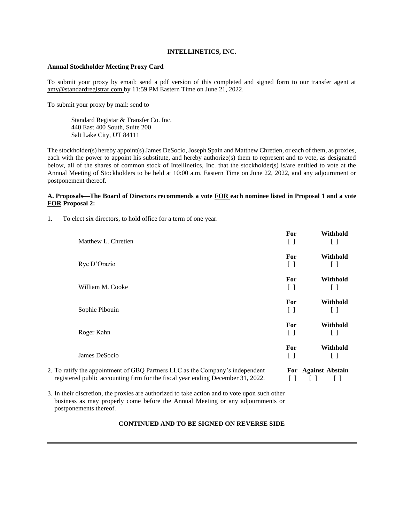## **INTELLINETICS, INC.**

## **Annual Stockholder Meeting Proxy Card**

To submit your proxy by email: send a pdf version of this completed and signed form to our transfer agent at amy@standardregistrar.com by 11:59 PM Eastern Time on June 21, 2022.

To submit your proxy by mail: send to

Standard Registar & Transfer Co. Inc. 440 East 400 South, Suite 200 Salt Lake City, UT 84111

The stockholder(s) hereby appoint(s) James DeSocio, Joseph Spain and Matthew Chretien, or each of them, as proxies, each with the power to appoint his substitute, and hereby authorize(s) them to represent and to vote, as designated below, all of the shares of common stock of Intellinetics, Inc. that the stockholder(s) is/are entitled to vote at the Annual Meeting of Stockholders to be held at 10:00 a.m. Eastern Time on June 22, 2022, and any adjournment or postponement thereof.

## **A. Proposals—The Board of Directors recommends a vote FOR each nominee listed in Proposal 1 and a vote FOR Proposal 2:**

| To elect six directors, to hold office for a term of one year. |
|----------------------------------------------------------------|
|----------------------------------------------------------------|

|                                                                                 | For                                           | Withhold            |
|---------------------------------------------------------------------------------|-----------------------------------------------|---------------------|
| Matthew L. Chretien                                                             | $\left[ \begin{array}{c} \end{array} \right]$ |                     |
|                                                                                 | For                                           | Withhold            |
| Rye D'Orazio                                                                    | $\left[ \quad \right]$                        | Ιl                  |
|                                                                                 | For                                           | Withhold            |
| William M. Cooke                                                                | $[\ ]$                                        | Ιl                  |
|                                                                                 | For                                           | Withhold            |
| Sophie Pibouin                                                                  | $\Box$                                        | $\Box$              |
|                                                                                 | For                                           | Withhold            |
| Roger Kahn                                                                      | $\left[ \begin{array}{c} \end{array} \right]$ | ſΙ                  |
|                                                                                 | For                                           | Withhold            |
| James DeSocio                                                                   | $\Box$                                        |                     |
| 2. To ratify the appointment of GBQ Partners LLC as the Company's independent   |                                               | For Against Abstain |
| registered public accounting firm for the fiscal year ending December 31, 2022. |                                               |                     |

3. In their discretion, the proxies are authorized to take action and to vote upon such other business as may properly come before the Annual Meeting or any adjournments or postponements thereof.

**CONTINUED AND TO BE SIGNED ON REVERSE SIDE**